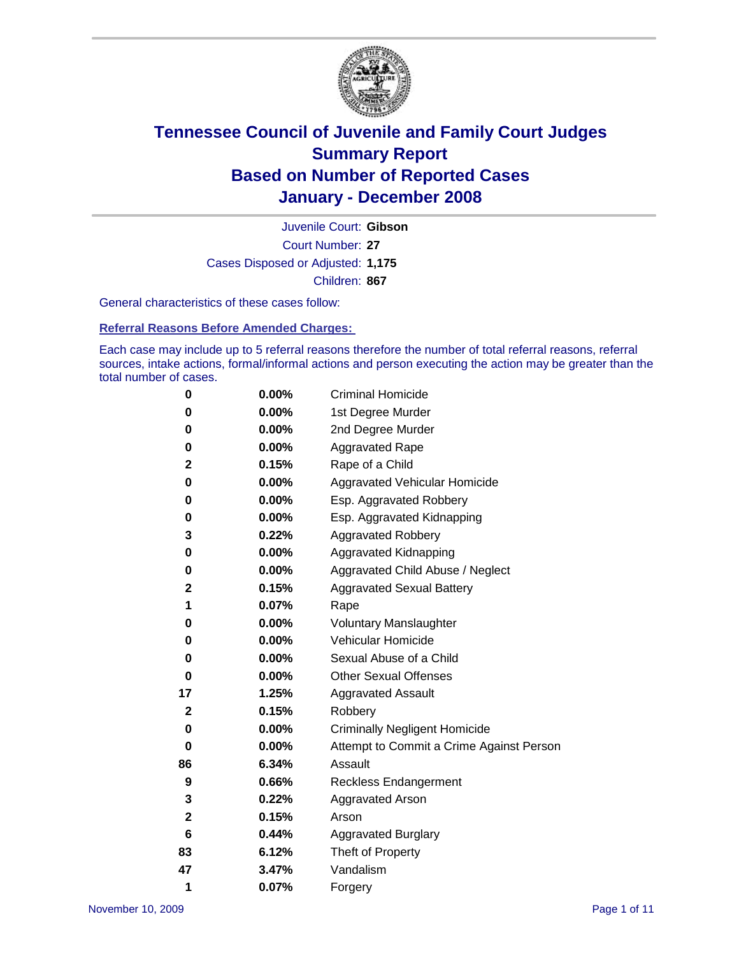

Court Number: **27** Juvenile Court: **Gibson** Cases Disposed or Adjusted: **1,175** Children: **867**

General characteristics of these cases follow:

**Referral Reasons Before Amended Charges:** 

Each case may include up to 5 referral reasons therefore the number of total referral reasons, referral sources, intake actions, formal/informal actions and person executing the action may be greater than the total number of cases.

| 0            | 0.00%    | <b>Criminal Homicide</b>                 |
|--------------|----------|------------------------------------------|
| 0            | 0.00%    | 1st Degree Murder                        |
| 0            | $0.00\%$ | 2nd Degree Murder                        |
| 0            | 0.00%    | <b>Aggravated Rape</b>                   |
| 2            | 0.15%    | Rape of a Child                          |
| 0            | 0.00%    | Aggravated Vehicular Homicide            |
| 0            | 0.00%    | Esp. Aggravated Robbery                  |
| 0            | 0.00%    | Esp. Aggravated Kidnapping               |
| 3            | 0.22%    | <b>Aggravated Robbery</b>                |
| 0            | $0.00\%$ | Aggravated Kidnapping                    |
| 0            | 0.00%    | Aggravated Child Abuse / Neglect         |
| 2            | 0.15%    | <b>Aggravated Sexual Battery</b>         |
| 1            | 0.07%    | Rape                                     |
| 0            | 0.00%    | <b>Voluntary Manslaughter</b>            |
| 0            | 0.00%    | Vehicular Homicide                       |
| 0            | 0.00%    | Sexual Abuse of a Child                  |
| 0            | $0.00\%$ | <b>Other Sexual Offenses</b>             |
| 17           | 1.25%    | <b>Aggravated Assault</b>                |
| 2            | 0.15%    | Robbery                                  |
| 0            | 0.00%    | <b>Criminally Negligent Homicide</b>     |
| 0            | 0.00%    | Attempt to Commit a Crime Against Person |
| 86           | 6.34%    | Assault                                  |
| 9            | 0.66%    | <b>Reckless Endangerment</b>             |
| 3            | 0.22%    | <b>Aggravated Arson</b>                  |
| $\mathbf{2}$ | 0.15%    | Arson                                    |
| 6            | 0.44%    | <b>Aggravated Burglary</b>               |
| 83           | 6.12%    | Theft of Property                        |
| 47           | 3.47%    | Vandalism                                |
| 1            | 0.07%    | Forgery                                  |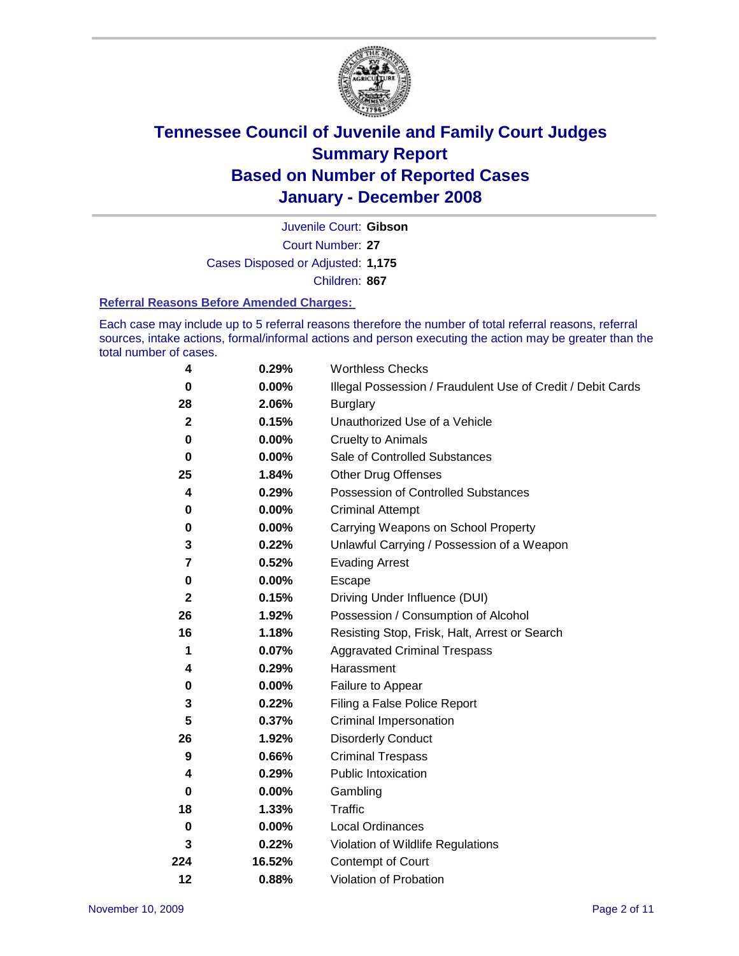

Court Number: **27** Juvenile Court: **Gibson** Cases Disposed or Adjusted: **1,175** Children: **867**

#### **Referral Reasons Before Amended Charges:**

Each case may include up to 5 referral reasons therefore the number of total referral reasons, referral sources, intake actions, formal/informal actions and person executing the action may be greater than the total number of cases.

| 4            | 0.29%    | <b>Worthless Checks</b>                                     |
|--------------|----------|-------------------------------------------------------------|
| 0            | $0.00\%$ | Illegal Possession / Fraudulent Use of Credit / Debit Cards |
| 28           | 2.06%    | <b>Burglary</b>                                             |
| $\mathbf{2}$ | 0.15%    | Unauthorized Use of a Vehicle                               |
| 0            | $0.00\%$ | <b>Cruelty to Animals</b>                                   |
| $\bf{0}$     | $0.00\%$ | Sale of Controlled Substances                               |
| 25           | 1.84%    | <b>Other Drug Offenses</b>                                  |
| 4            | 0.29%    | <b>Possession of Controlled Substances</b>                  |
| 0            | $0.00\%$ | <b>Criminal Attempt</b>                                     |
| 0            | 0.00%    | Carrying Weapons on School Property                         |
| 3            | 0.22%    | Unlawful Carrying / Possession of a Weapon                  |
| 7            | 0.52%    | <b>Evading Arrest</b>                                       |
| 0            | 0.00%    | Escape                                                      |
| $\mathbf{2}$ | 0.15%    | Driving Under Influence (DUI)                               |
| 26           | 1.92%    | Possession / Consumption of Alcohol                         |
| 16           | 1.18%    | Resisting Stop, Frisk, Halt, Arrest or Search               |
| 1            | 0.07%    | <b>Aggravated Criminal Trespass</b>                         |
| 4            | 0.29%    | Harassment                                                  |
| 0            | $0.00\%$ | Failure to Appear                                           |
| 3            | 0.22%    | Filing a False Police Report                                |
| 5            | 0.37%    | Criminal Impersonation                                      |
| 26           | 1.92%    | <b>Disorderly Conduct</b>                                   |
| 9            | 0.66%    | <b>Criminal Trespass</b>                                    |
| 4            | 0.29%    | Public Intoxication                                         |
| 0            | 0.00%    | Gambling                                                    |
| 18           | 1.33%    | <b>Traffic</b>                                              |
| 0            | 0.00%    | Local Ordinances                                            |
| 3            | 0.22%    | Violation of Wildlife Regulations                           |
| 224          | 16.52%   | Contempt of Court                                           |
| 12           | 0.88%    | Violation of Probation                                      |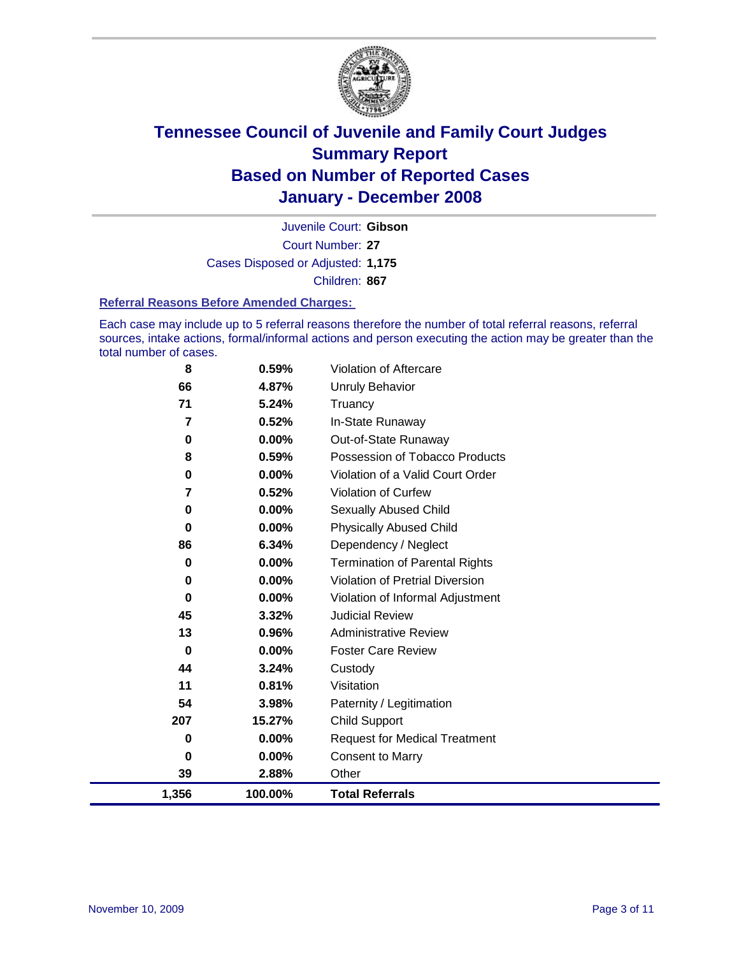

Court Number: **27** Juvenile Court: **Gibson** Cases Disposed or Adjusted: **1,175** Children: **867**

#### **Referral Reasons Before Amended Charges:**

Each case may include up to 5 referral reasons therefore the number of total referral reasons, referral sources, intake actions, formal/informal actions and person executing the action may be greater than the total number of cases.

| 8              | 0.59%    | Violation of Aftercare                 |
|----------------|----------|----------------------------------------|
| 66             | 4.87%    | <b>Unruly Behavior</b>                 |
| 71             | 5.24%    | Truancy                                |
| $\overline{7}$ | 0.52%    | In-State Runaway                       |
| 0              | 0.00%    | Out-of-State Runaway                   |
| 8              | 0.59%    | Possession of Tobacco Products         |
| 0              | 0.00%    | Violation of a Valid Court Order       |
| 7              | 0.52%    | Violation of Curfew                    |
| 0              | 0.00%    | Sexually Abused Child                  |
| 0              | 0.00%    | <b>Physically Abused Child</b>         |
| 86             | 6.34%    | Dependency / Neglect                   |
| 0              | 0.00%    | <b>Termination of Parental Rights</b>  |
| 0              | 0.00%    | <b>Violation of Pretrial Diversion</b> |
| 0              | 0.00%    | Violation of Informal Adjustment       |
| 45             | 3.32%    | <b>Judicial Review</b>                 |
| 13             | 0.96%    | <b>Administrative Review</b>           |
| 0              | $0.00\%$ | <b>Foster Care Review</b>              |
| 44             | 3.24%    | Custody                                |
| 11             | 0.81%    | Visitation                             |
| 54             | 3.98%    | Paternity / Legitimation               |
| 207            | 15.27%   | <b>Child Support</b>                   |
| 0              | 0.00%    | <b>Request for Medical Treatment</b>   |
| 0              | 0.00%    | <b>Consent to Marry</b>                |
| 39             | 2.88%    | Other                                  |
| 1,356          | 100.00%  | <b>Total Referrals</b>                 |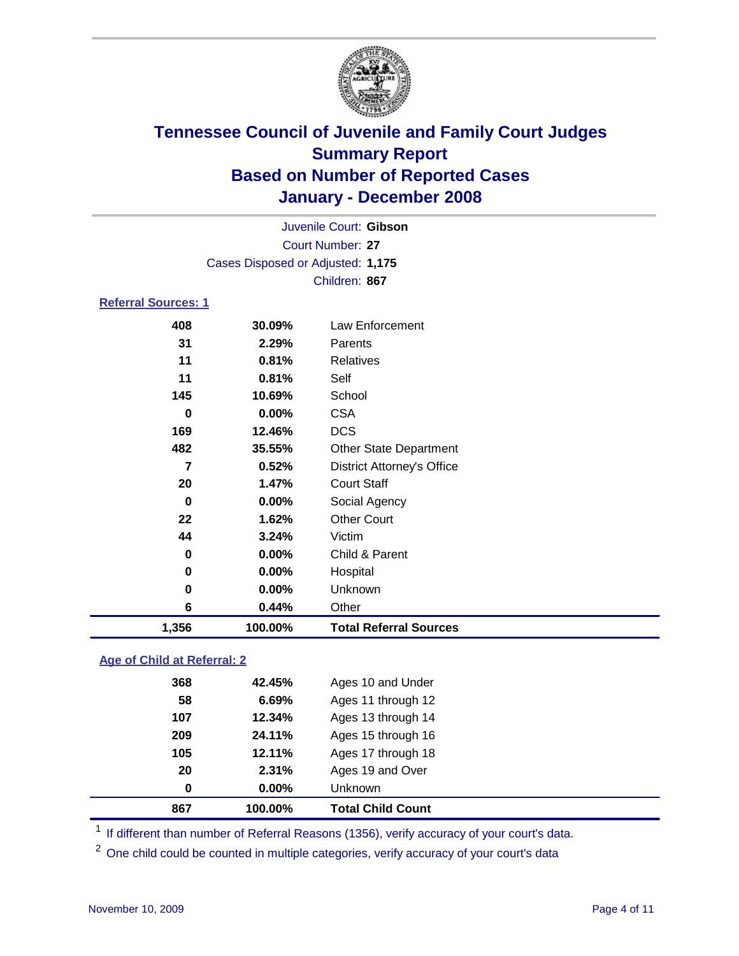

Court Number: **27** Juvenile Court: **Gibson** Cases Disposed or Adjusted: **1,175** Children: **867**

#### **Referral Sources: 1**

| 408   | 30.09%  | Law Enforcement                   |
|-------|---------|-----------------------------------|
| 31    | 2.29%   | <b>Parents</b>                    |
| 11    | 0.81%   | <b>Relatives</b>                  |
| 11    | 0.81%   | Self                              |
| 145   | 10.69%  | School                            |
| 0     | 0.00%   | <b>CSA</b>                        |
| 169   | 12.46%  | <b>DCS</b>                        |
| 482   | 35.55%  | <b>Other State Department</b>     |
| 7     | 0.52%   | <b>District Attorney's Office</b> |
| 20    | 1.47%   | <b>Court Staff</b>                |
| 0     | 0.00%   | Social Agency                     |
| 22    | 1.62%   | <b>Other Court</b>                |
| 44    | 3.24%   | Victim                            |
| 0     | 0.00%   | Child & Parent                    |
| 0     | 0.00%   | Hospital                          |
| 0     | 0.00%   | Unknown                           |
| 6     | 0.44%   | Other                             |
| 1,356 | 100.00% | <b>Total Referral Sources</b>     |

#### **Age of Child at Referral: 2**

| 867 | 100.00% | <b>Total Child Count</b> |
|-----|---------|--------------------------|
| 0   | 0.00%   | Unknown                  |
| 20  | 2.31%   | Ages 19 and Over         |
| 105 | 12.11%  | Ages 17 through 18       |
| 209 | 24.11%  | Ages 15 through 16       |
| 107 | 12.34%  | Ages 13 through 14       |
| 58  | 6.69%   | Ages 11 through 12       |
| 368 | 42.45%  | Ages 10 and Under        |
|     |         |                          |

<sup>1</sup> If different than number of Referral Reasons (1356), verify accuracy of your court's data.

<sup>2</sup> One child could be counted in multiple categories, verify accuracy of your court's data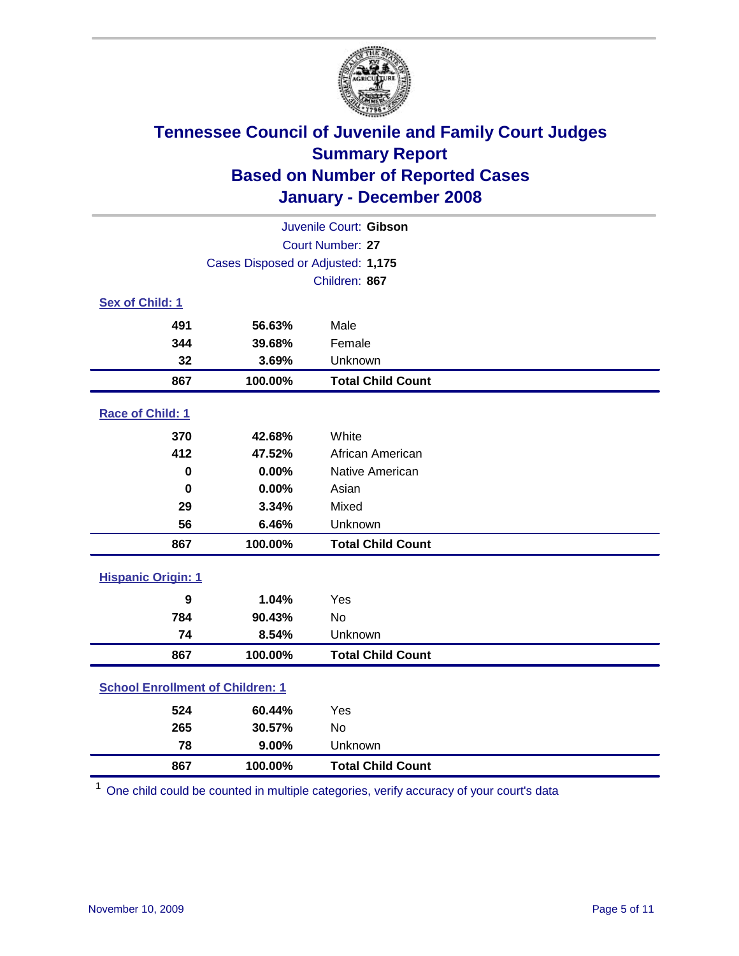

| Juvenile Court: Gibson                  |                                   |                          |  |  |  |
|-----------------------------------------|-----------------------------------|--------------------------|--|--|--|
| Court Number: 27                        |                                   |                          |  |  |  |
|                                         | Cases Disposed or Adjusted: 1,175 |                          |  |  |  |
|                                         |                                   | Children: 867            |  |  |  |
| Sex of Child: 1                         |                                   |                          |  |  |  |
| 491                                     | 56.63%                            | Male                     |  |  |  |
| 344                                     | 39.68%                            | Female                   |  |  |  |
| 32                                      | 3.69%                             | Unknown                  |  |  |  |
| 867                                     | 100.00%                           | <b>Total Child Count</b> |  |  |  |
| Race of Child: 1                        |                                   |                          |  |  |  |
| 370                                     | 42.68%                            | White                    |  |  |  |
| 412                                     | 47.52%                            | African American         |  |  |  |
| $\bf{0}$                                | 0.00%                             | Native American          |  |  |  |
| $\bf{0}$                                | 0.00%                             | Asian                    |  |  |  |
| 29                                      | 3.34%                             | Mixed                    |  |  |  |
| 56                                      | 6.46%                             | Unknown                  |  |  |  |
| 867                                     | 100.00%                           | <b>Total Child Count</b> |  |  |  |
| <b>Hispanic Origin: 1</b>               |                                   |                          |  |  |  |
| $\boldsymbol{9}$                        | 1.04%                             | Yes                      |  |  |  |
| 784                                     | 90.43%                            | No                       |  |  |  |
| 74                                      | 8.54%                             | Unknown                  |  |  |  |
| 867                                     | 100.00%                           | <b>Total Child Count</b> |  |  |  |
| <b>School Enrollment of Children: 1</b> |                                   |                          |  |  |  |
| 524                                     | 60.44%                            | Yes                      |  |  |  |
| 265                                     | 30.57%                            | <b>No</b>                |  |  |  |
| 78                                      | 9.00%                             | Unknown                  |  |  |  |
| 867                                     | 100.00%                           | <b>Total Child Count</b> |  |  |  |

One child could be counted in multiple categories, verify accuracy of your court's data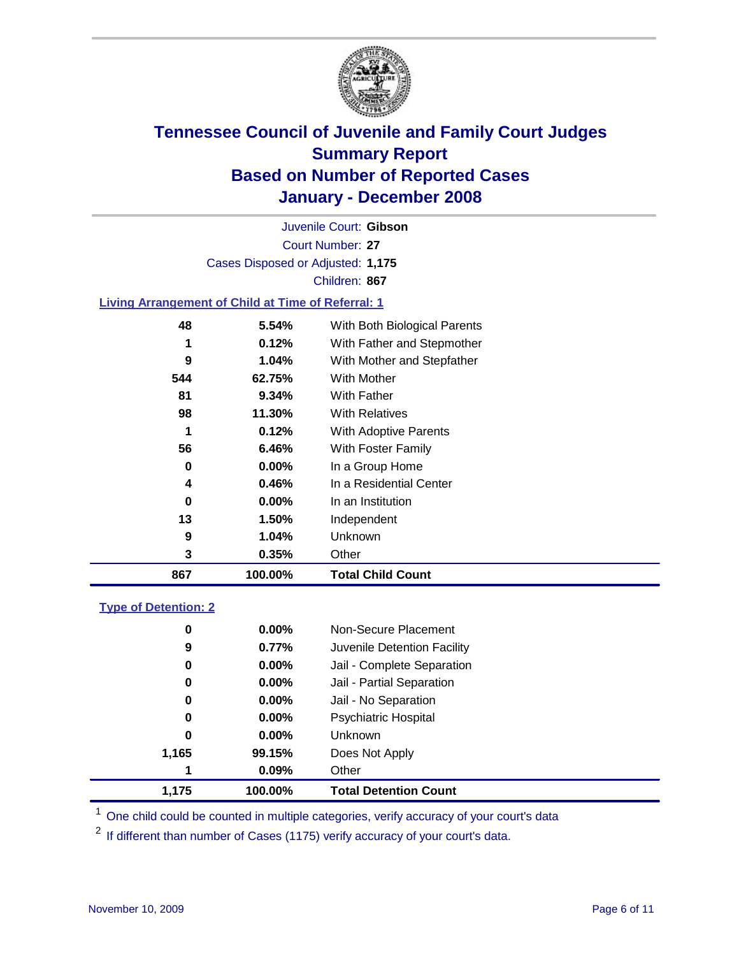

Court Number: **27** Juvenile Court: **Gibson** Cases Disposed or Adjusted: **1,175** Children: **867**

#### **Living Arrangement of Child at Time of Referral: 1**

| 867 | 100.00%  | <b>Total Child Count</b>     |
|-----|----------|------------------------------|
| 3   | 0.35%    | Other                        |
| 9   | 1.04%    | Unknown                      |
| 13  | 1.50%    | Independent                  |
| 0   | $0.00\%$ | In an Institution            |
| 4   | 0.46%    | In a Residential Center      |
| 0   | 0.00%    | In a Group Home              |
| 56  | 6.46%    | With Foster Family           |
| 1   | 0.12%    | With Adoptive Parents        |
| 98  | 11.30%   | <b>With Relatives</b>        |
| 81  | 9.34%    | With Father                  |
| 544 | 62.75%   | With Mother                  |
| 9   | 1.04%    | With Mother and Stepfather   |
| 1   | 0.12%    | With Father and Stepmother   |
| 48  | 5.54%    | With Both Biological Parents |
|     |          |                              |

#### **Type of Detention: 2**

| 1.175 | 100.00%  | <b>Total Detention Count</b> |
|-------|----------|------------------------------|
| 1     | 0.09%    | Other                        |
| 1,165 | 99.15%   | Does Not Apply               |
| 0     | $0.00\%$ | <b>Unknown</b>               |
| 0     | 0.00%    | <b>Psychiatric Hospital</b>  |
| 0     | 0.00%    | Jail - No Separation         |
| 0     | $0.00\%$ | Jail - Partial Separation    |
| 0     | 0.00%    | Jail - Complete Separation   |
| 9     | 0.77%    | Juvenile Detention Facility  |
| 0     | 0.00%    | Non-Secure Placement         |
|       |          |                              |

<sup>1</sup> One child could be counted in multiple categories, verify accuracy of your court's data

<sup>2</sup> If different than number of Cases (1175) verify accuracy of your court's data.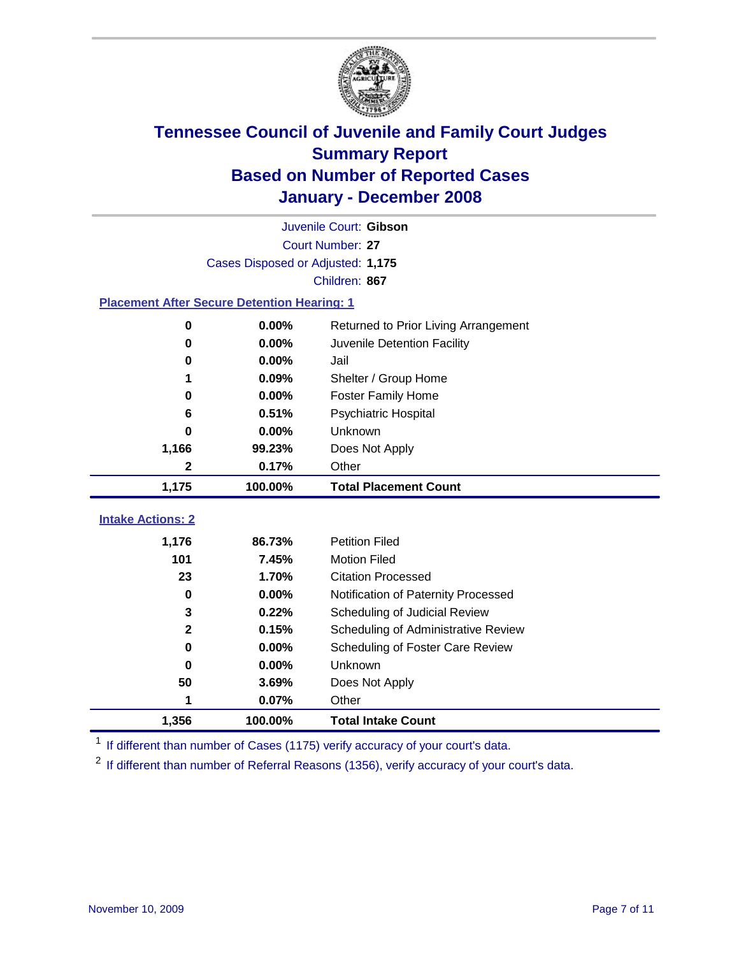

|                                                    | Juvenile Court: Gibson            |                                      |  |  |  |  |
|----------------------------------------------------|-----------------------------------|--------------------------------------|--|--|--|--|
|                                                    | Court Number: 27                  |                                      |  |  |  |  |
|                                                    | Cases Disposed or Adjusted: 1,175 |                                      |  |  |  |  |
|                                                    | Children: 867                     |                                      |  |  |  |  |
| <b>Placement After Secure Detention Hearing: 1</b> |                                   |                                      |  |  |  |  |
| 0                                                  | 0.00%                             | Returned to Prior Living Arrangement |  |  |  |  |
| 0                                                  | 0.00%                             | Juvenile Detention Facility          |  |  |  |  |
| 0                                                  | 0.00%                             | Jail                                 |  |  |  |  |
| 1                                                  | 0.09%                             | Shelter / Group Home                 |  |  |  |  |
| 0                                                  | 0.00%                             | <b>Foster Family Home</b>            |  |  |  |  |
| 6                                                  | 0.51%                             | <b>Psychiatric Hospital</b>          |  |  |  |  |
| 0                                                  | 0.00%                             | Unknown                              |  |  |  |  |
| 1,166                                              | 99.23%                            | Does Not Apply                       |  |  |  |  |
| $\mathbf{2}$                                       | 0.17%                             | Other                                |  |  |  |  |
| 1,175                                              | 100.00%                           | <b>Total Placement Count</b>         |  |  |  |  |
|                                                    |                                   |                                      |  |  |  |  |
| <b>Intake Actions: 2</b>                           |                                   |                                      |  |  |  |  |
| 1,176                                              | 86.73%                            | <b>Petition Filed</b>                |  |  |  |  |
| 101                                                | 7.45%                             | <b>Motion Filed</b>                  |  |  |  |  |
| 23                                                 | 1.70%                             | <b>Citation Processed</b>            |  |  |  |  |
| $\bf{0}$                                           | 0.00%                             | Notification of Paternity Processed  |  |  |  |  |
| 3                                                  | 0.22%                             | Scheduling of Judicial Review        |  |  |  |  |
| $\mathbf{2}$                                       | 0.15%                             | Scheduling of Administrative Review  |  |  |  |  |
| 0                                                  | 0.00%                             | Scheduling of Foster Care Review     |  |  |  |  |
| 0                                                  | 0.00%                             | Unknown                              |  |  |  |  |
| 50                                                 | 3.69%                             | Does Not Apply                       |  |  |  |  |
| 1                                                  | 0.07%                             | Other                                |  |  |  |  |
| 1,356                                              | 100.00%                           | <b>Total Intake Count</b>            |  |  |  |  |

<sup>1</sup> If different than number of Cases (1175) verify accuracy of your court's data.

<sup>2</sup> If different than number of Referral Reasons (1356), verify accuracy of your court's data.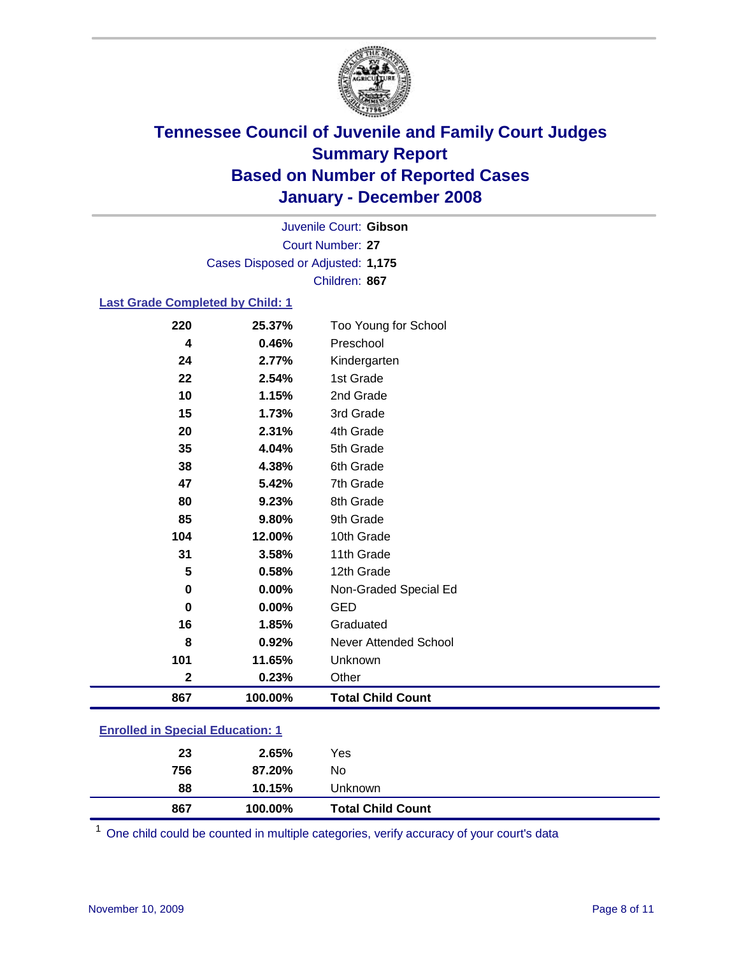

Court Number: **27** Juvenile Court: **Gibson** Cases Disposed or Adjusted: **1,175** Children: **867**

#### **Last Grade Completed by Child: 1**

| 867         | 100.00% | <b>Total Child Count</b>     |
|-------------|---------|------------------------------|
| $\mathbf 2$ | 0.23%   | Other                        |
| 101         | 11.65%  | Unknown                      |
| 8           | 0.92%   | <b>Never Attended School</b> |
| 16          | 1.85%   | Graduated                    |
| $\mathbf 0$ | 0.00%   | <b>GED</b>                   |
| $\pmb{0}$   | 0.00%   | Non-Graded Special Ed        |
| 5           | 0.58%   | 12th Grade                   |
| 31          | 3.58%   | 11th Grade                   |
| 104         | 12.00%  | 10th Grade                   |
| 85          | 9.80%   | 9th Grade                    |
| 80          | 9.23%   | 8th Grade                    |
| 47          | 5.42%   | 7th Grade                    |
| 38          | 4.38%   | 6th Grade                    |
| 35          | 4.04%   | 5th Grade                    |
| 20          | 2.31%   | 4th Grade                    |
| 15          | 1.73%   | 3rd Grade                    |
| 10          | 1.15%   | 2nd Grade                    |
| 22          | 2.54%   | 1st Grade                    |
| 24          | 2.77%   | Kindergarten                 |
| 4           | 0.46%   | Preschool                    |
| 220         | 25.37%  | Too Young for School         |

### **Enrolled in Special Education: 1**

| <b>Total Child Count</b> |  |
|--------------------------|--|
| 88<br>10.15%<br>Unknown  |  |
| 756<br>87.20%<br>No      |  |
| 23<br>Yes<br>2.65%       |  |

<sup>1</sup> One child could be counted in multiple categories, verify accuracy of your court's data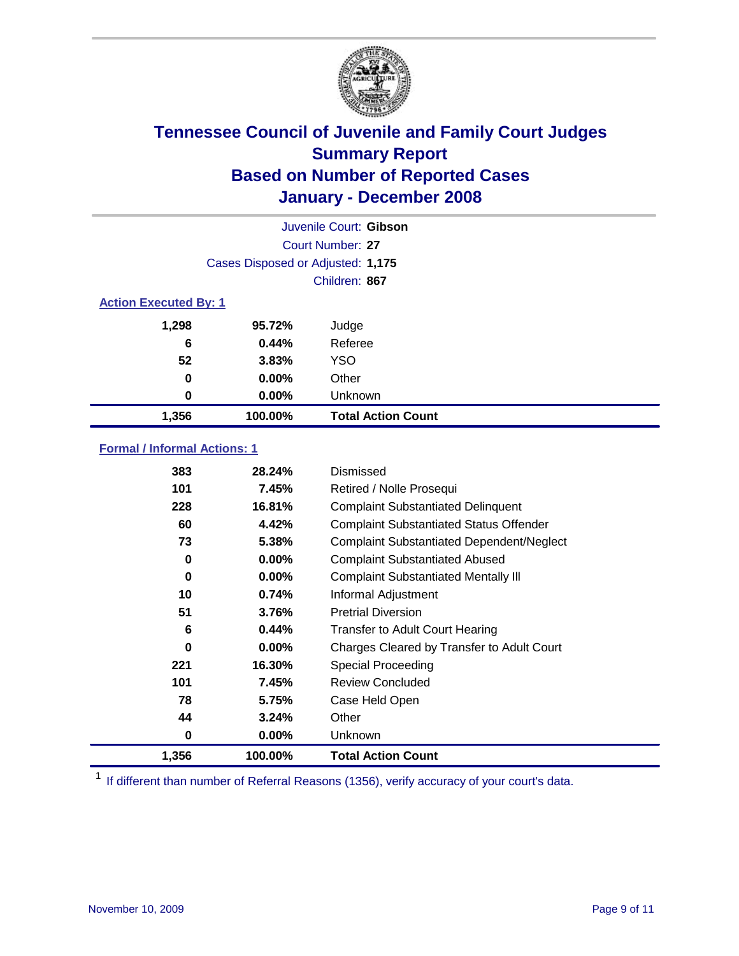

| Juvenile Court: Gibson       |                                   |                           |  |  |  |
|------------------------------|-----------------------------------|---------------------------|--|--|--|
|                              | Court Number: 27                  |                           |  |  |  |
|                              | Cases Disposed or Adjusted: 1,175 |                           |  |  |  |
|                              | Children: 867                     |                           |  |  |  |
| <b>Action Executed By: 1</b> |                                   |                           |  |  |  |
| 1,298                        | 95.72%                            | Judge                     |  |  |  |
| 6                            | 0.44%                             | Referee                   |  |  |  |
| 52                           | 3.83%                             | <b>YSO</b>                |  |  |  |
| 0                            | $0.00\%$                          | Other                     |  |  |  |
| 0                            | $0.00\%$                          | Unknown                   |  |  |  |
| 1,356                        | 100.00%                           | <b>Total Action Count</b> |  |  |  |

#### **Formal / Informal Actions: 1**

| 383   | 28.24%   | Dismissed                                        |
|-------|----------|--------------------------------------------------|
| 101   | 7.45%    | Retired / Nolle Prosequi                         |
| 228   | 16.81%   | <b>Complaint Substantiated Delinquent</b>        |
| 60    | 4.42%    | <b>Complaint Substantiated Status Offender</b>   |
| 73    | 5.38%    | <b>Complaint Substantiated Dependent/Neglect</b> |
| 0     | 0.00%    | <b>Complaint Substantiated Abused</b>            |
| 0     | 0.00%    | <b>Complaint Substantiated Mentally III</b>      |
| 10    | 0.74%    | Informal Adjustment                              |
| 51    | 3.76%    | <b>Pretrial Diversion</b>                        |
| 6     | 0.44%    | <b>Transfer to Adult Court Hearing</b>           |
| 0     | $0.00\%$ | Charges Cleared by Transfer to Adult Court       |
| 221   | 16.30%   | Special Proceeding                               |
| 101   | 7.45%    | <b>Review Concluded</b>                          |
| 78    | 5.75%    | Case Held Open                                   |
| 44    | 3.24%    | Other                                            |
| 0     | $0.00\%$ | <b>Unknown</b>                                   |
| 1,356 | 100.00%  | <b>Total Action Count</b>                        |

<sup>1</sup> If different than number of Referral Reasons (1356), verify accuracy of your court's data.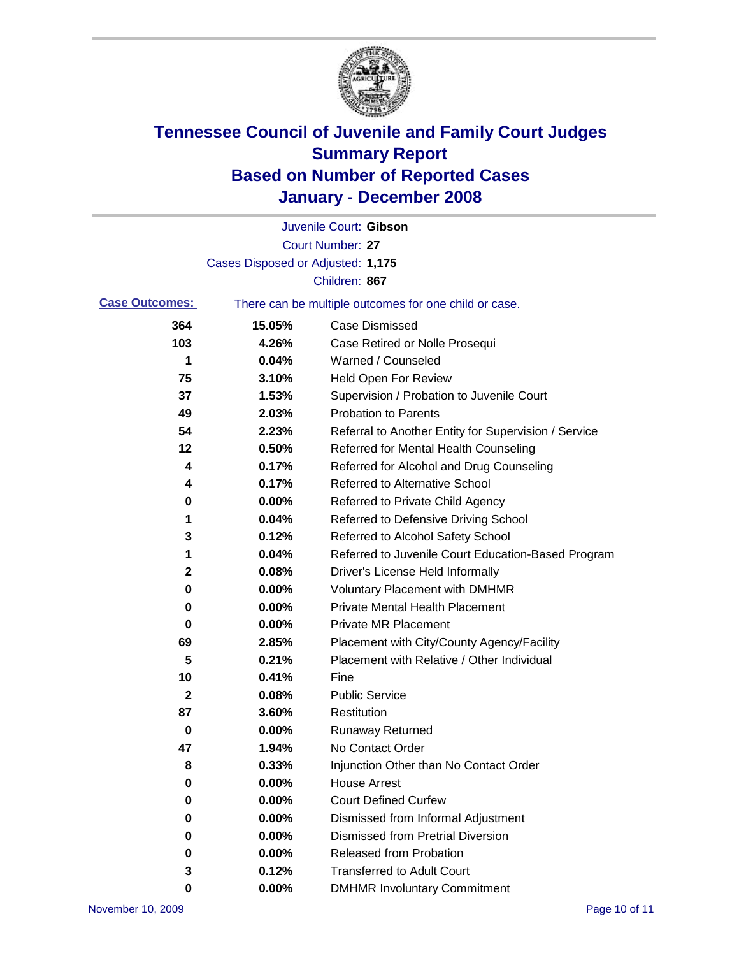

|                       |                                   | Juvenile Court: Gibson                                |
|-----------------------|-----------------------------------|-------------------------------------------------------|
|                       |                                   | Court Number: 27                                      |
|                       | Cases Disposed or Adjusted: 1,175 |                                                       |
|                       |                                   | Children: 867                                         |
| <b>Case Outcomes:</b> |                                   | There can be multiple outcomes for one child or case. |
| 364                   | 15.05%                            | <b>Case Dismissed</b>                                 |
| 103                   | 4.26%                             | Case Retired or Nolle Prosequi                        |
| 1                     | 0.04%                             | Warned / Counseled                                    |
| 75                    | 3.10%                             | <b>Held Open For Review</b>                           |
| 37                    | 1.53%                             | Supervision / Probation to Juvenile Court             |
| 49                    | 2.03%                             | <b>Probation to Parents</b>                           |
| 54                    | 2.23%                             | Referral to Another Entity for Supervision / Service  |
| 12                    | 0.50%                             | Referred for Mental Health Counseling                 |
| 4                     | 0.17%                             | Referred for Alcohol and Drug Counseling              |
| 4                     | 0.17%                             | <b>Referred to Alternative School</b>                 |
| 0                     | 0.00%                             | Referred to Private Child Agency                      |
| 1                     | 0.04%                             | Referred to Defensive Driving School                  |
| 3                     | 0.12%                             | Referred to Alcohol Safety School                     |
| 1                     | 0.04%                             | Referred to Juvenile Court Education-Based Program    |
| 2                     | 0.08%                             | Driver's License Held Informally                      |
| 0                     | 0.00%                             | <b>Voluntary Placement with DMHMR</b>                 |
| 0                     | 0.00%                             | <b>Private Mental Health Placement</b>                |
| 0                     | 0.00%                             | <b>Private MR Placement</b>                           |
| 69                    | 2.85%                             | Placement with City/County Agency/Facility            |
| 5                     | 0.21%                             | Placement with Relative / Other Individual            |
| 10                    | 0.41%                             | Fine                                                  |
| 2                     | 0.08%                             | <b>Public Service</b>                                 |
| 87                    | 3.60%                             | Restitution                                           |
| 0                     | 0.00%                             | <b>Runaway Returned</b>                               |
| 47                    | 1.94%                             | No Contact Order                                      |
| 8                     | 0.33%                             | Injunction Other than No Contact Order                |
| 0                     | 0.00%                             | <b>House Arrest</b>                                   |
| 0                     | 0.00%                             | <b>Court Defined Curfew</b>                           |
| 0                     | 0.00%                             | Dismissed from Informal Adjustment                    |
| 0                     | 0.00%                             | <b>Dismissed from Pretrial Diversion</b>              |
| 0                     | 0.00%                             | <b>Released from Probation</b>                        |
| 3                     | 0.12%                             | <b>Transferred to Adult Court</b>                     |
| 0                     | $0.00\%$                          | <b>DMHMR Involuntary Commitment</b>                   |